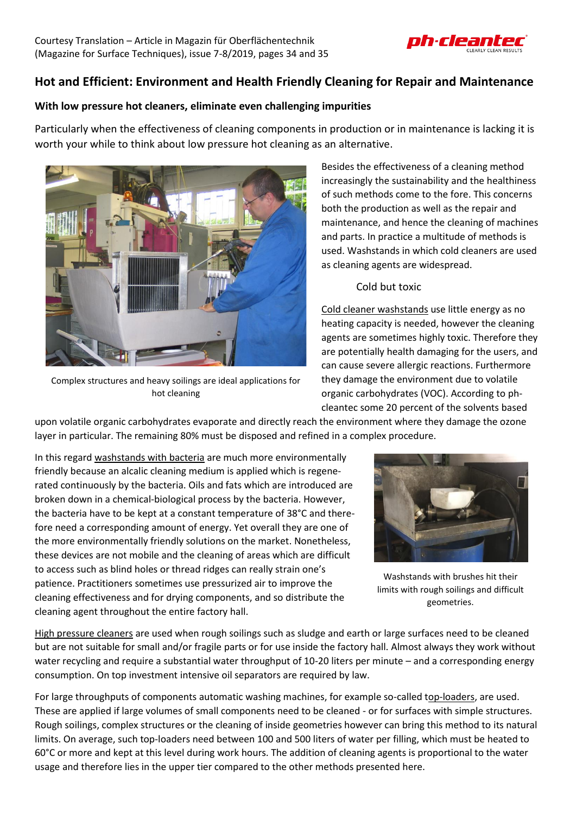

## **Hot and Efficient: Environment and Health Friendly Cleaning for Repair and Maintenance**

## **With low pressure hot cleaners, eliminate even challenging impurities**

Particularly when the effectiveness of cleaning components in production or in maintenance is lacking it is worth your while to think about low pressure hot cleaning as an alternative.



Complex structures and heavy soilings are ideal applications for hot cleaning

Besides the effectiveness of a cleaning method increasingly the sustainability and the healthiness of such methods come to the fore. This concerns both the production as well as the repair and maintenance, and hence the cleaning of machines and parts. In practice a multitude of methods is used. Washstands in which cold cleaners are used as cleaning agents are widespread.

## Cold but toxic

Cold cleaner washstands use little energy as no heating capacity is needed, however the cleaning agents are sometimes highly toxic. Therefore they are potentially health damaging for the users, and can cause severe allergic reactions. Furthermore they damage the environment due to volatile organic carbohydrates (VOC). According to phcleantec some 20 percent of the solvents based

upon volatile organic carbohydrates evaporate and directly reach the environment where they damage the ozone layer in particular. The remaining 80% must be disposed and refined in a complex procedure.

In this regard washstands with bacteria are much more environmentally friendly because an alcalic cleaning medium is applied which is regenerated continuously by the bacteria. Oils and fats which are introduced are broken down in a chemical-biological process by the bacteria. However, the bacteria have to be kept at a constant temperature of 38°C and therefore need a corresponding amount of energy. Yet overall they are one of the more environmentally friendly solutions on the market. Nonetheless, these devices are not mobile and the cleaning of areas which are difficult to access such as blind holes or thread ridges can really strain one's patience. Practitioners sometimes use pressurized air to improve the cleaning effectiveness and for drying components, and so distribute the cleaning agent throughout the entire factory hall.



Washstands with brushes hit their limits with rough soilings and difficult geometries.

High pressure cleaners are used when rough soilings such as sludge and earth or large surfaces need to be cleaned but are not suitable for small and/or fragile parts or for use inside the factory hall. Almost always they work without water recycling and require a substantial water throughput of 10-20 liters per minute – and a corresponding energy consumption. On top investment intensive oil separators are required by law.

For large throughputs of components automatic washing machines, for example so-called top-loaders, are used. These are applied if large volumes of small components need to be cleaned - or for surfaces with simple structures. Rough soilings, complex structures or the cleaning of inside geometries however can bring this method to its natural limits. On average, such top-loaders need between 100 and 500 liters of water per filling, which must be heated to 60°C or more and kept at this level during work hours. The addition of cleaning agents is proportional to the water usage and therefore lies in the upper tier compared to the other methods presented here.